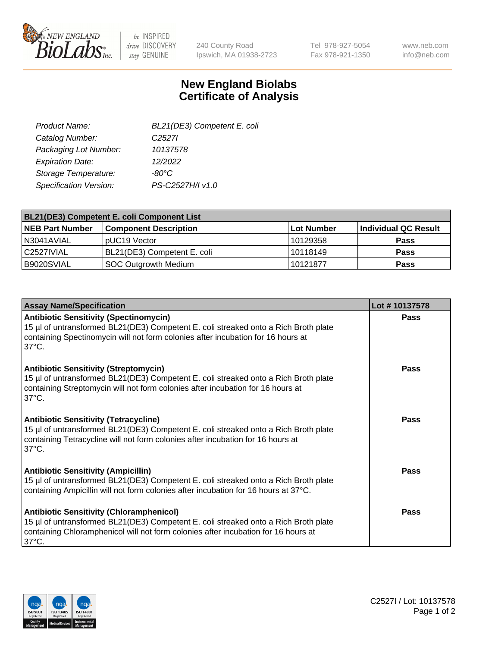

 $be$  INSPIRED drive DISCOVERY stay GENUINE

240 County Road Ipswich, MA 01938-2723 Tel 978-927-5054 Fax 978-921-1350

www.neb.com info@neb.com

## **New England Biolabs Certificate of Analysis**

| BL21(DE3) Competent E. coli |
|-----------------------------|
| C <sub>2527</sub>           |
| 10137578                    |
| 12/2022                     |
| $-80^{\circ}$ C             |
| PS-C2527H/I v1.0            |
|                             |

| <b>BL21(DE3) Competent E. coli Component List</b> |                              |             |                      |  |
|---------------------------------------------------|------------------------------|-------------|----------------------|--|
| <b>NEB Part Number</b>                            | <b>Component Description</b> | ⊺Lot Number | Individual QC Result |  |
| N3041AVIAL                                        | pUC19 Vector                 | 10129358    | <b>Pass</b>          |  |
| C2527IVIAL                                        | BL21(DE3) Competent E. coli  | 10118149    | <b>Pass</b>          |  |
| B9020SVIAL                                        | SOC Outgrowth Medium         | 10121877    | <b>Pass</b>          |  |

| <b>Assay Name/Specification</b>                                                                                                                                                                                                                 | Lot #10137578 |
|-------------------------------------------------------------------------------------------------------------------------------------------------------------------------------------------------------------------------------------------------|---------------|
| <b>Antibiotic Sensitivity (Spectinomycin)</b><br>15 µl of untransformed BL21(DE3) Competent E. coli streaked onto a Rich Broth plate<br>containing Spectinomycin will not form colonies after incubation for 16 hours at<br>$37^{\circ}$ C.     | <b>Pass</b>   |
| <b>Antibiotic Sensitivity (Streptomycin)</b><br>15 µl of untransformed BL21(DE3) Competent E. coli streaked onto a Rich Broth plate<br>containing Streptomycin will not form colonies after incubation for 16 hours at<br>$37^{\circ}$ C.       | <b>Pass</b>   |
| <b>Antibiotic Sensitivity (Tetracycline)</b><br>15 µl of untransformed BL21(DE3) Competent E. coli streaked onto a Rich Broth plate<br>containing Tetracycline will not form colonies after incubation for 16 hours at<br>$37^{\circ}$ C.       | Pass          |
| <b>Antibiotic Sensitivity (Ampicillin)</b><br>15 µl of untransformed BL21(DE3) Competent E. coli streaked onto a Rich Broth plate<br>containing Ampicillin will not form colonies after incubation for 16 hours at 37°C.                        | Pass          |
| <b>Antibiotic Sensitivity (Chloramphenicol)</b><br>15 µl of untransformed BL21(DE3) Competent E. coli streaked onto a Rich Broth plate<br>containing Chloramphenicol will not form colonies after incubation for 16 hours at<br>$37^{\circ}$ C. | Pass          |